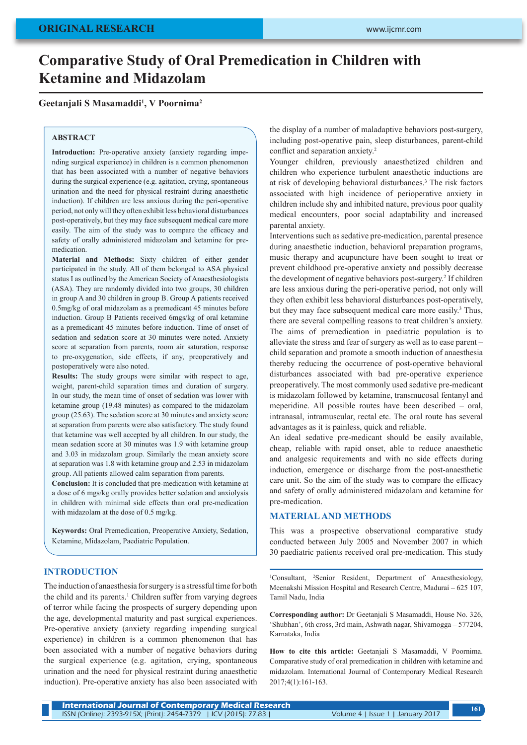# **Comparative Study of Oral Premedication in Children with Ketamine and Midazolam**

## **Geetanjali S Masamaddi1 , V Poornima2**

#### **ABSTRACT**

**Introduction:** Pre-operative anxiety (anxiety regarding impending surgical experience) in children is a common phenomenon that has been associated with a number of negative behaviors during the surgical experience (e.g. agitation, crying, spontaneous urination and the need for physical restraint during anaesthetic induction). If children are less anxious during the peri-operative period, not only will they often exhibit less behavioral disturbances post-operatively, but they may face subsequent medical care more easily. The aim of the study was to compare the efficacy and safety of orally administered midazolam and ketamine for premedication.

**Material and Methods:** Sixty children of either gender participated in the study. All of them belonged to ASA physical status I as outlined by the American Society of Anaesthesiologists (ASA). They are randomly divided into two groups, 30 children in group A and 30 children in group B. Group A patients received 0.5mg/kg of oral midazolam as a premedicant 45 minutes before induction. Group B Patients received 6mgs/kg of oral ketamine as a premedicant 45 minutes before induction. Time of onset of sedation and sedation score at 30 minutes were noted. Anxiety score at separation from parents, room air saturation, response to pre-oxygenation, side effects, if any, preoperatively and postoperatively were also noted.

**Results:** The study groups were similar with respect to age, weight, parent-child separation times and duration of surgery. In our study, the mean time of onset of sedation was lower with ketamine group (19.48 minutes) as compared to the midazolam group (25.63). The sedation score at 30 minutes and anxiety score at separation from parents were also satisfactory. The study found that ketamine was well accepted by all children. In our study, the mean sedation score at 30 minutes was 1.9 with ketamine group and 3.03 in midazolam group. Similarly the mean anxiety score at separation was 1.8 with ketamine group and 2.53 in midazolam group. All patients allowed calm separation from parents.

**Conclusion:** It is concluded that pre-medication with ketamine at a dose of 6 mgs/kg orally provides better sedation and anxiolysis in children with minimal side effects than oral pre-medication with midazolam at the dose of 0.5 mg/kg.

**Keywords:** Oral Premedication, Preoperative Anxiety, Sedation, Ketamine, Midazolam, Paediatric Population.

## **INTRODUCTION**

The induction of anaesthesia for surgery is a stressful time for both the child and its parents.<sup>1</sup> Children suffer from varying degrees of terror while facing the prospects of surgery depending upon the age, developmental maturity and past surgical experiences. Pre-operative anxiety (anxiety regarding impending surgical experience) in children is a common phenomenon that has been associated with a number of negative behaviors during the surgical experience (e.g. agitation, crying, spontaneous urination and the need for physical restraint during anaesthetic induction). Pre-operative anxiety has also been associated with the display of a number of maladaptive behaviors post-surgery, including post-operative pain, sleep disturbances, parent-child conflict and separation anxiety.<sup>2</sup>

Younger children, previously anaesthetized children and children who experience turbulent anaesthetic inductions are at risk of developing behavioral disturbances.3 The risk factors associated with high incidence of perioperative anxiety in children include shy and inhibited nature, previous poor quality medical encounters, poor social adaptability and increased parental anxiety.

Interventions such as sedative pre-medication, parental presence during anaesthetic induction, behavioral preparation programs, music therapy and acupuncture have been sought to treat or prevent childhood pre-operative anxiety and possibly decrease the development of negative behaviors post-surgery.<sup>2</sup> If children are less anxious during the peri-operative period, not only will they often exhibit less behavioral disturbances post-operatively, but they may face subsequent medical care more easily.<sup>3</sup> Thus, there are several compelling reasons to treat children's anxiety. The aims of premedication in paediatric population is to alleviate the stress and fear of surgery as well as to ease parent – child separation and promote a smooth induction of anaesthesia thereby reducing the occurrence of post-operative behavioral disturbances associated with bad pre-operative experience preoperatively. The most commonly used sedative pre-medicant is midazolam followed by ketamine, transmucosal fentanyl and meperidine. All possible routes have been described – oral, intranasal, intramuscular, rectal etc. The oral route has several advantages as it is painless, quick and reliable.

An ideal sedative pre-medicant should be easily available, cheap, reliable with rapid onset, able to reduce anaesthetic and analgesic requirements and with no side effects during induction, emergence or discharge from the post-anaesthetic care unit. So the aim of the study was to compare the efficacy and safety of orally administered midazolam and ketamine for pre-medication.

## **MATERIAL AND METHODS**

This was a prospective observational comparative study conducted between July 2005 and November 2007 in which 30 paediatric patients received oral pre-medication. This study

<sup>1</sup>Consultant, <sup>2</sup>Senior Resident, Department of Anaesthesiology, Meenakshi Mission Hospital and Research Centre, Madurai – 625 107, Tamil Nadu, India

**Corresponding author:** Dr Geetanjali S Masamaddi, House No. 326, 'Shubhan', 6th cross, 3rd main, Ashwath nagar, Shivamogga – 577204, Karnataka, India

**How to cite this article:** Geetanjali S Masamaddi, V Poornima. Comparative study of oral premedication in children with ketamine and midazolam. International Journal of Contemporary Medical Research 2017;4(1):161-163.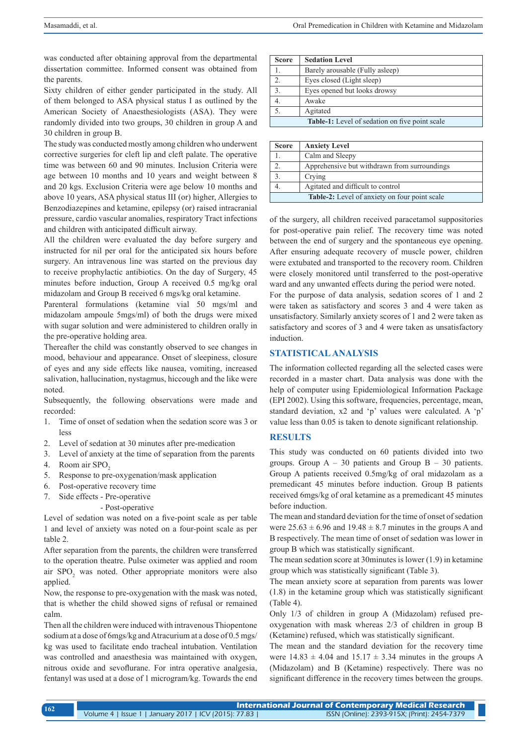was conducted after obtaining approval from the departmental dissertation committee. Informed consent was obtained from the parents.

Sixty children of either gender participated in the study. All of them belonged to ASA physical status I as outlined by the American Society of Anaesthesiologists (ASA). They were randomly divided into two groups, 30 children in group A and 30 children in group B.

The study was conducted mostly among children who underwent corrective surgeries for cleft lip and cleft palate. The operative time was between 60 and 90 minutes. Inclusion Criteria were age between 10 months and 10 years and weight between 8 and 20 kgs. Exclusion Criteria were age below 10 months and above 10 years, ASA physical status III (or) higher, Allergies to Benzodiazepines and ketamine, epilepsy (or) raised intracranial pressure, cardio vascular anomalies, respiratory Tract infections and children with anticipated difficult airway.

All the children were evaluated the day before surgery and instructed for nil per oral for the anticipated six hours before surgery. An intravenous line was started on the previous day to receive prophylactic antibiotics. On the day of Surgery, 45 minutes before induction, Group A received 0.5 mg/kg oral midazolam and Group B received 6 mgs/kg oral ketamine.

Parenteral formulations (ketamine vial 50 mgs/ml and midazolam ampoule 5mgs/ml) of both the drugs were mixed with sugar solution and were administered to children orally in the pre-operative holding area.

Thereafter the child was constantly observed to see changes in mood, behaviour and appearance. Onset of sleepiness, closure of eyes and any side effects like nausea, vomiting, increased salivation, hallucination, nystagmus, hiccough and the like were noted.

Subsequently, the following observations were made and recorded:

- 1. Time of onset of sedation when the sedation score was 3 or less
- 2. Level of sedation at 30 minutes after pre-medication
- 3. Level of anxiety at the time of separation from the parents
- 4. Room air SPO<sub>2</sub>
- 5. Response to pre-oxygenation/mask application
- 6. Post-operative recovery time
- 7. Side effects Pre-operative
	- Post-operative

Level of sedation was noted on a five-point scale as per table 1 and level of anxiety was noted on a four-point scale as per table 2.

After separation from the parents, the children were transferred to the operation theatre. Pulse oximeter was applied and room air  $SPO<sub>2</sub>$  was noted. Other appropriate monitors were also applied.

Now, the response to pre-oxygenation with the mask was noted, that is whether the child showed signs of refusal or remained calm.

Then all the children were induced with intravenous Thiopentone sodium at a dose of 6mgs/kg and Atracurium at a dose of 0.5 mgs/ kg was used to facilitate endo tracheal intubation. Ventilation was controlled and anaesthesia was maintained with oxygen, nitrous oxide and sevoflurane. For intra operative analgesia, fentanyl was used at a dose of 1 microgram/kg. Towards the end

| <b>Score</b>                                          | <b>Sedation Level</b>           |  |  |  |
|-------------------------------------------------------|---------------------------------|--|--|--|
|                                                       | Barely arousable (Fully asleep) |  |  |  |
| 2.                                                    | Eyes closed (Light sleep)       |  |  |  |
| $\mathfrak{Z}$ .                                      | Eyes opened but looks drowsy    |  |  |  |
| 4.                                                    | Awake                           |  |  |  |
| 5.                                                    | Agitated                        |  |  |  |
| <b>Table-1:</b> Level of sedation on five point scale |                                 |  |  |  |

| <b>Score</b>                                         | <b>Anxiety Level</b>                         |  |  |  |
|------------------------------------------------------|----------------------------------------------|--|--|--|
|                                                      | Calm and Sleepy                              |  |  |  |
|                                                      | Apprehensive but withdrawn from surroundings |  |  |  |
|                                                      | Crying                                       |  |  |  |
|                                                      | Agitated and difficult to control            |  |  |  |
| <b>Table-2:</b> Level of anxiety on four point scale |                                              |  |  |  |

of the surgery, all children received paracetamol suppositories for post-operative pain relief. The recovery time was noted between the end of surgery and the spontaneous eye opening. After ensuring adequate recovery of muscle power, children were extubated and transported to the recovery room. Children were closely monitored until transferred to the post-operative ward and any unwanted effects during the period were noted.

For the purpose of data analysis, sedation scores of 1 and 2 were taken as satisfactory and scores 3 and 4 were taken as unsatisfactory. Similarly anxiety scores of 1 and 2 were taken as satisfactory and scores of 3 and 4 were taken as unsatisfactory induction.

# **STATISTICAL ANALYSIS**

The information collected regarding all the selected cases were recorded in a master chart. Data analysis was done with the help of computer using Epidemiological Information Package (EPI 2002). Using this software, frequencies, percentage, mean, standard deviation, x2 and 'p' values were calculated. A 'p' value less than 0.05 is taken to denote significant relationship.

### **RESULTS**

This study was conducted on 60 patients divided into two groups. Group  $A - 30$  patients and Group  $B - 30$  patients. Group A patients received 0.5mg/kg of oral midazolam as a premedicant 45 minutes before induction. Group B patients received 6mgs/kg of oral ketamine as a premedicant 45 minutes before induction.

The mean and standard deviation for the time of onset of sedation were  $25.63 \pm 6.96$  and  $19.48 \pm 8.7$  minutes in the groups A and B respectively. The mean time of onset of sedation was lower in group B which was statistically significant.

The mean sedation score at 30minutes is lower (1.9) in ketamine group which was statistically significant (Table 3).

The mean anxiety score at separation from parents was lower (1.8) in the ketamine group which was statistically significant (Table 4).

Only 1/3 of children in group A (Midazolam) refused preoxygenation with mask whereas 2/3 of children in group B (Ketamine) refused, which was statistically significant.

The mean and the standard deviation for the recovery time were  $14.83 \pm 4.04$  and  $15.17 \pm 3.34$  minutes in the groups A (Midazolam) and B (Ketamine) respectively. There was no significant difference in the recovery times between the groups.